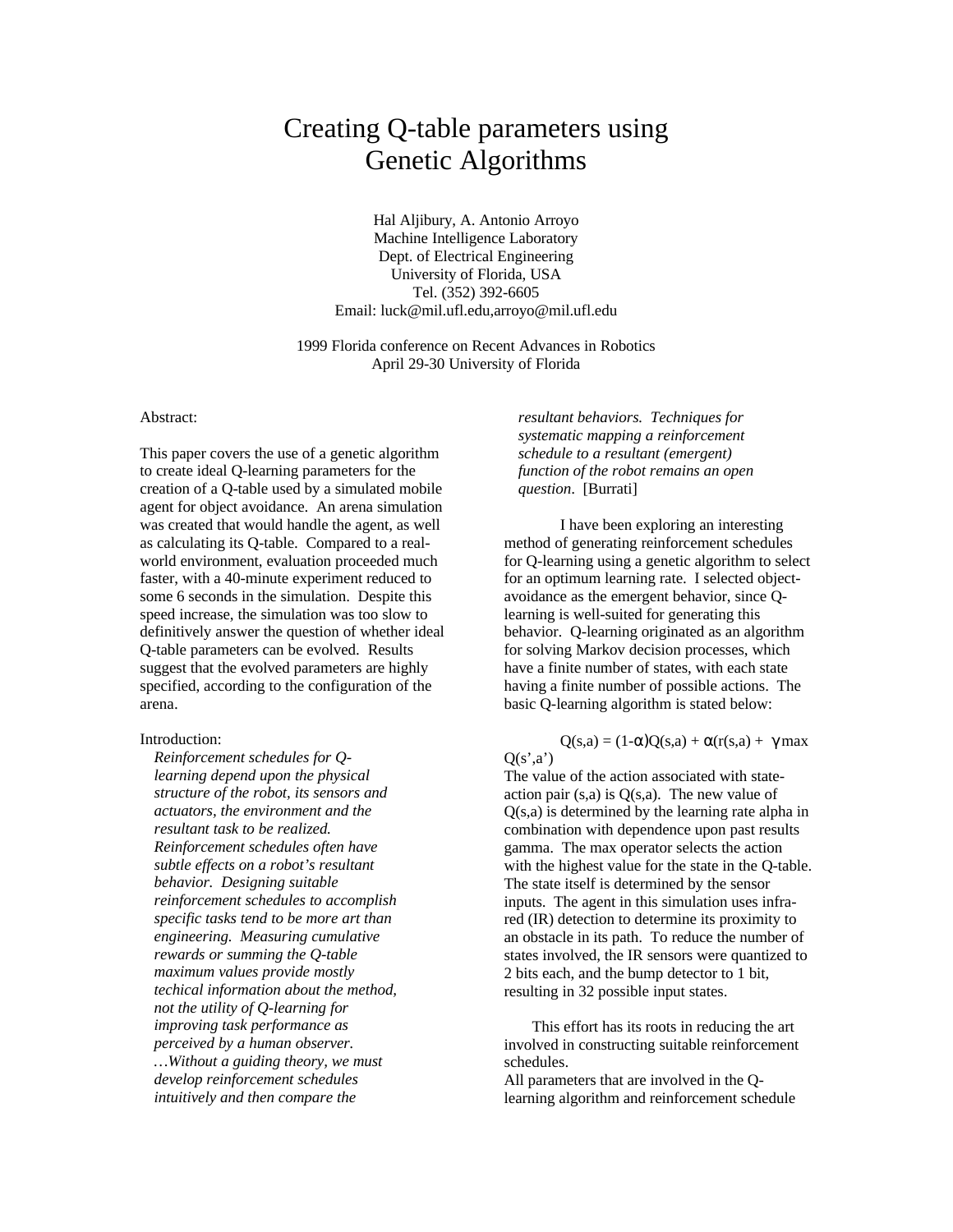# Creating Q-table parameters using Genetic Algorithms

Hal Aljibury, A. Antonio Arroyo Machine Intelligence Laboratory Dept. of Electrical Engineering University of Florida, USA Tel. (352) 392-6605 Email: luck@mil.ufl.edu,arroyo@mil.ufl.edu

1999 Florida conference on Recent Advances in Robotics April 29-30 University of Florida

## Abstract:

This paper covers the use of a genetic algorithm to create ideal Q-learning parameters for the creation of a Q-table used by a simulated mobile agent for object avoidance. An arena simulation was created that would handle the agent, as well as calculating its Q-table. Compared to a realworld environment, evaluation proceeded much faster, with a 40-minute experiment reduced to some 6 seconds in the simulation. Despite this speed increase, the simulation was too slow to definitively answer the question of whether ideal Q-table parameters can be evolved. Results suggest that the evolved parameters are highly specified, according to the configuration of the arena.

# Introduction:

*Reinforcement schedules for Qlearning depend upon the physical structure of the robot, its sensors and actuators, the environment and the resultant task to be realized. Reinforcement schedules often have subtle effects on a robot's resultant behavior. Designing suitable reinforcement schedules to accomplish specific tasks tend to be more art than engineering. Measuring cumulative rewards or summing the Q-table maximum values provide mostly techical information about the method, not the utility of Q-learning for improving task performance as perceived by a human observer. …Without a guiding theory, we must develop reinforcement schedules intuitively and then compare the*

*resultant behaviors. Techniques for systematic mapping a reinforcement schedule to a resultant (emergent) function of the robot remains an open question*. [Burrati]

I have been exploring an interesting method of generating reinforcement schedules for Q-learning using a genetic algorithm to select for an optimum learning rate. I selected objectavoidance as the emergent behavior, since Qlearning is well-suited for generating this behavior. Q-learning originated as an algorithm for solving Markov decision processes, which have a finite number of states, with each state having a finite number of possible actions. The basic Q-learning algorithm is stated below:

 $Q(s,a) = (1-\alpha)Q(s,a) + \alpha(r(s,a)) + \gamma \max$  $Q(s',a')$ 

The value of the action associated with stateaction pair  $(s,a)$  is  $Q(s,a)$ . The new value of Q(s,a) is determined by the learning rate alpha in combination with dependence upon past results gamma. The max operator selects the action with the highest value for the state in the Q-table. The state itself is determined by the sensor inputs. The agent in this simulation uses infrared (IR) detection to determine its proximity to an obstacle in its path. To reduce the number of states involved, the IR sensors were quantized to 2 bits each, and the bump detector to 1 bit, resulting in 32 possible input states.

This effort has its roots in reducing the art involved in constructing suitable reinforcement schedules.

All parameters that are involved in the Qlearning algorithm and reinforcement schedule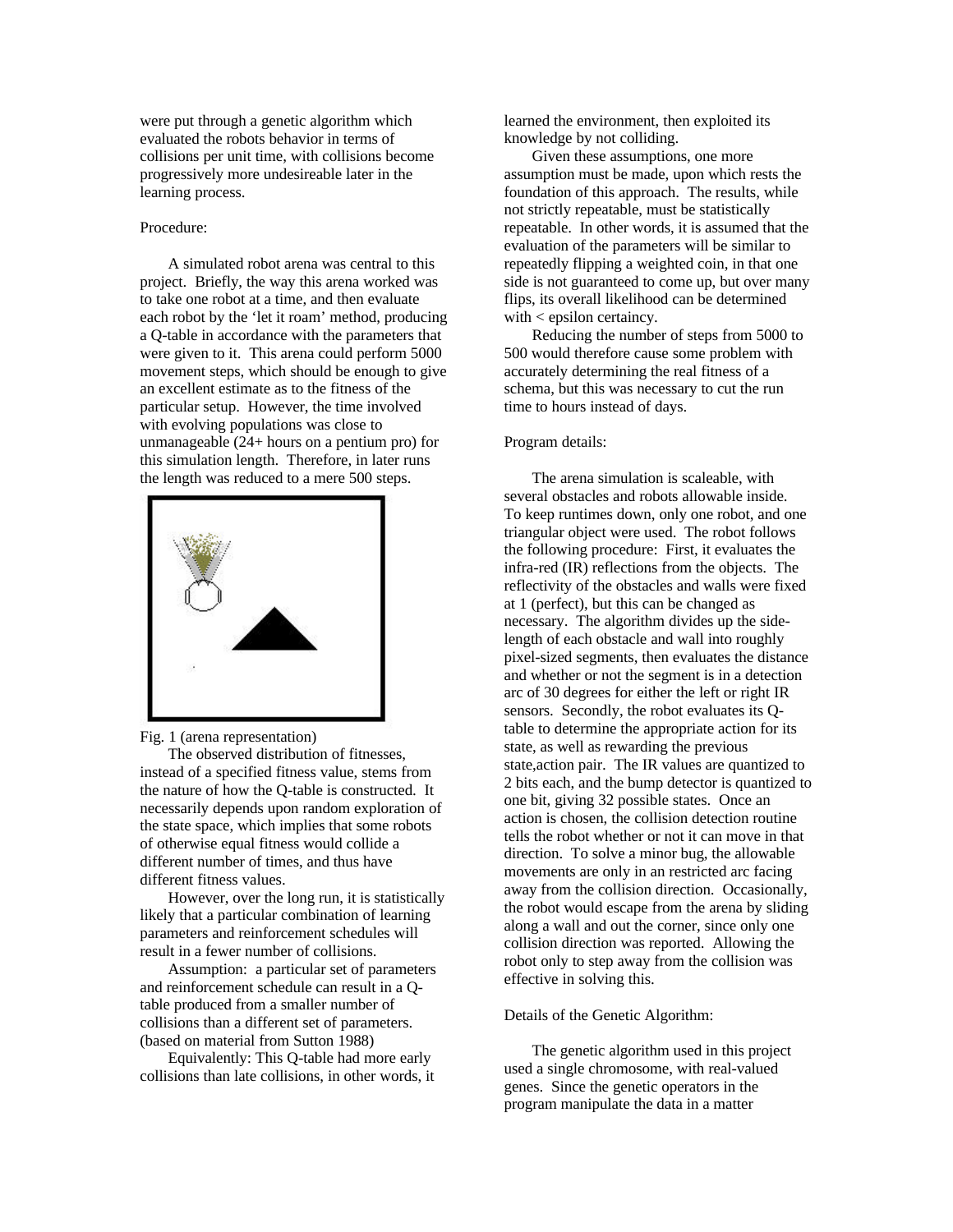were put through a genetic algorithm which evaluated the robots behavior in terms of collisions per unit time, with collisions become progressively more undesireable later in the learning process.

#### Procedure:

A simulated robot arena was central to this project. Briefly, the way this arena worked was to take one robot at a time, and then evaluate each robot by the 'let it roam' method, producing a Q-table in accordance with the parameters that were given to it. This arena could perform 5000 movement steps, which should be enough to give an excellent estimate as to the fitness of the particular setup. However, the time involved with evolving populations was close to unmanageable (24+ hours on a pentium pro) for this simulation length. Therefore, in later runs the length was reduced to a mere 500 steps.



Fig. 1 (arena representation)

The observed distribution of fitnesses, instead of a specified fitness value, stems from the nature of how the Q-table is constructed. It necessarily depends upon random exploration of the state space, which implies that some robots of otherwise equal fitness would collide a different number of times, and thus have different fitness values.

However, over the long run, it is statistically likely that a particular combination of learning parameters and reinforcement schedules will result in a fewer number of collisions.

Assumption: a particular set of parameters and reinforcement schedule can result in a Qtable produced from a smaller number of collisions than a different set of parameters. (based on material from Sutton 1988)

Equivalently: This Q-table had more early collisions than late collisions, in other words, it learned the environment, then exploited its knowledge by not colliding.

Given these assumptions, one more assumption must be made, upon which rests the foundation of this approach. The results, while not strictly repeatable, must be statistically repeatable. In other words, it is assumed that the evaluation of the parameters will be similar to repeatedly flipping a weighted coin, in that one side is not guaranteed to come up, but over many flips, its overall likelihood can be determined with < epsilon certaincy.

Reducing the number of steps from 5000 to 500 would therefore cause some problem with accurately determining the real fitness of a schema, but this was necessary to cut the run time to hours instead of days.

# Program details:

The arena simulation is scaleable, with several obstacles and robots allowable inside. To keep runtimes down, only one robot, and one triangular object were used. The robot follows the following procedure: First, it evaluates the infra-red (IR) reflections from the objects. The reflectivity of the obstacles and walls were fixed at 1 (perfect), but this can be changed as necessary. The algorithm divides up the sidelength of each obstacle and wall into roughly pixel-sized segments, then evaluates the distance and whether or not the segment is in a detection arc of 30 degrees for either the left or right IR sensors. Secondly, the robot evaluates its Qtable to determine the appropriate action for its state, as well as rewarding the previous state,action pair. The IR values are quantized to 2 bits each, and the bump detector is quantized to one bit, giving 32 possible states. Once an action is chosen, the collision detection routine tells the robot whether or not it can move in that direction. To solve a minor bug, the allowable movements are only in an restricted arc facing away from the collision direction. Occasionally, the robot would escape from the arena by sliding along a wall and out the corner, since only one collision direction was reported. Allowing the robot only to step away from the collision was effective in solving this.

## Details of the Genetic Algorithm:

The genetic algorithm used in this project used a single chromosome, with real-valued genes. Since the genetic operators in the program manipulate the data in a matter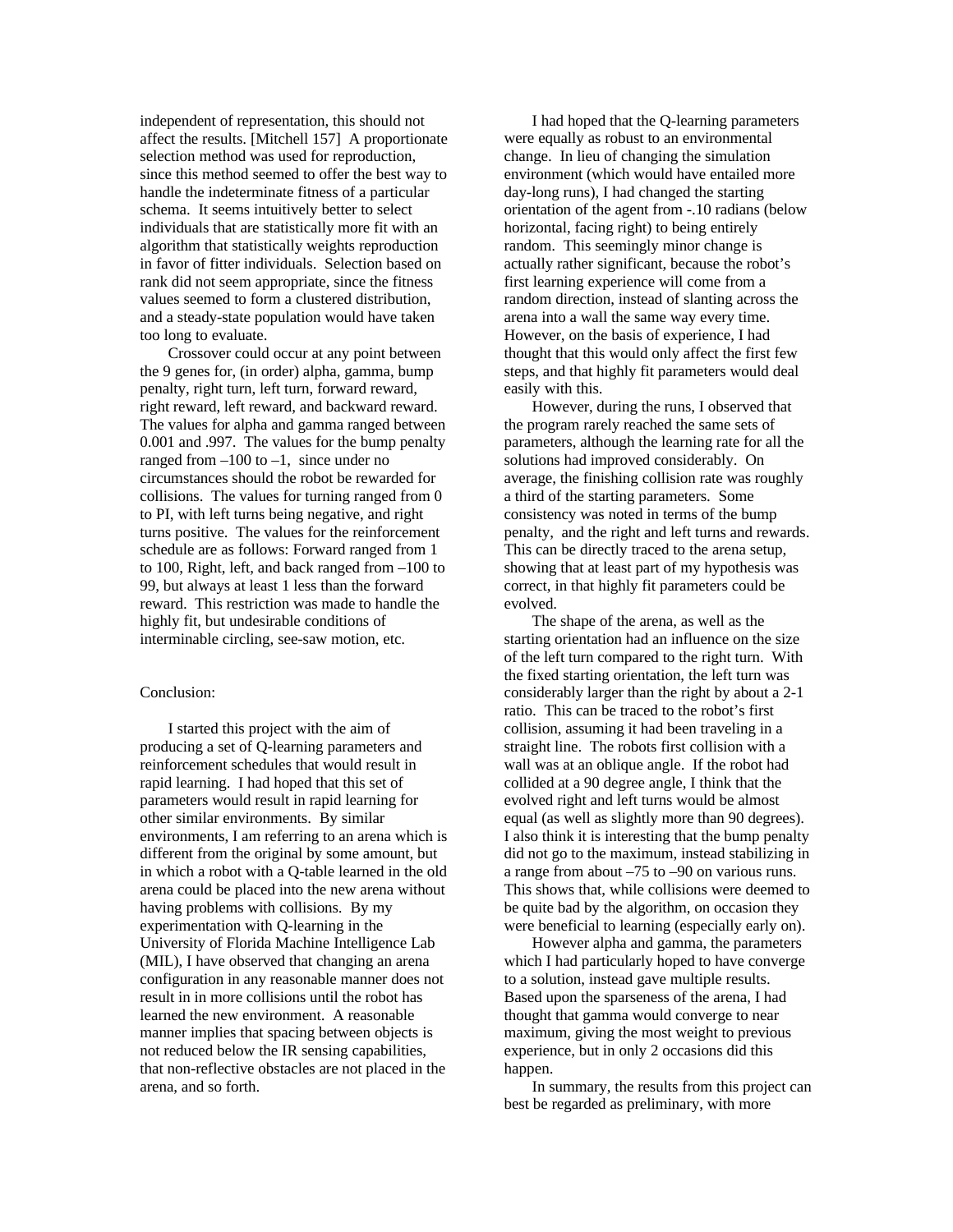independent of representation, this should not affect the results. [Mitchell 157] A proportionate selection method was used for reproduction, since this method seemed to offer the best way to handle the indeterminate fitness of a particular schema. It seems intuitively better to select individuals that are statistically more fit with an algorithm that statistically weights reproduction in favor of fitter individuals. Selection based on rank did not seem appropriate, since the fitness values seemed to form a clustered distribution, and a steady-state population would have taken too long to evaluate.

Crossover could occur at any point between the 9 genes for, (in order) alpha, gamma, bump penalty, right turn, left turn, forward reward, right reward, left reward, and backward reward. The values for alpha and gamma ranged between 0.001 and .997. The values for the bump penalty ranged from  $-100$  to  $-1$ , since under no circumstances should the robot be rewarded for collisions. The values for turning ranged from 0 to PI, with left turns being negative, and right turns positive. The values for the reinforcement schedule are as follows: Forward ranged from 1 to 100, Right, left, and back ranged from –100 to 99, but always at least 1 less than the forward reward. This restriction was made to handle the highly fit, but undesirable conditions of interminable circling, see-saw motion, etc.

#### Conclusion:

I started this project with the aim of producing a set of Q-learning parameters and reinforcement schedules that would result in rapid learning. I had hoped that this set of parameters would result in rapid learning for other similar environments. By similar environments, I am referring to an arena which is different from the original by some amount, but in which a robot with a Q-table learned in the old arena could be placed into the new arena without having problems with collisions. By my experimentation with Q-learning in the University of Florida Machine Intelligence Lab (MIL), I have observed that changing an arena configuration in any reasonable manner does not result in in more collisions until the robot has learned the new environment. A reasonable manner implies that spacing between objects is not reduced below the IR sensing capabilities, that non-reflective obstacles are not placed in the arena, and so forth.

I had hoped that the Q-learning parameters were equally as robust to an environmental change. In lieu of changing the simulation environment (which would have entailed more day-long runs), I had changed the starting orientation of the agent from -.10 radians (below horizontal, facing right) to being entirely random. This seemingly minor change is actually rather significant, because the robot's first learning experience will come from a random direction, instead of slanting across the arena into a wall the same way every time. However, on the basis of experience, I had thought that this would only affect the first few steps, and that highly fit parameters would deal easily with this.

However, during the runs, I observed that the program rarely reached the same sets of parameters, although the learning rate for all the solutions had improved considerably. On average, the finishing collision rate was roughly a third of the starting parameters. Some consistency was noted in terms of the bump penalty, and the right and left turns and rewards. This can be directly traced to the arena setup, showing that at least part of my hypothesis was correct, in that highly fit parameters could be evolved.

The shape of the arena, as well as the starting orientation had an influence on the size of the left turn compared to the right turn. With the fixed starting orientation, the left turn was considerably larger than the right by about a 2-1 ratio. This can be traced to the robot's first collision, assuming it had been traveling in a straight line. The robots first collision with a wall was at an oblique angle. If the robot had collided at a 90 degree angle, I think that the evolved right and left turns would be almost equal (as well as slightly more than 90 degrees). I also think it is interesting that the bump penalty did not go to the maximum, instead stabilizing in a range from about –75 to –90 on various runs. This shows that, while collisions were deemed to be quite bad by the algorithm, on occasion they were beneficial to learning (especially early on).

However alpha and gamma, the parameters which I had particularly hoped to have converge to a solution, instead gave multiple results. Based upon the sparseness of the arena, I had thought that gamma would converge to near maximum, giving the most weight to previous experience, but in only 2 occasions did this happen.

In summary, the results from this project can best be regarded as preliminary, with more